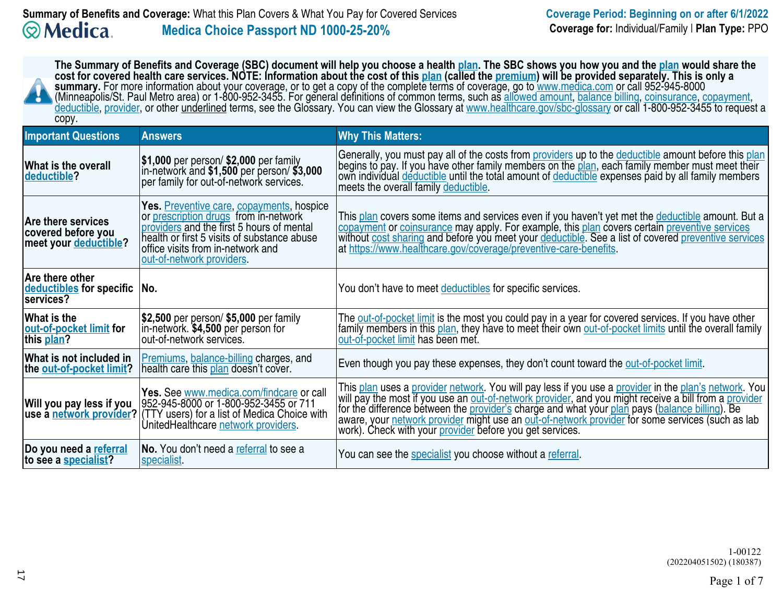| The Summary of Benefits and Coverage (SBC) document will help you choose a health <u>plan</u> . The SBC shows you how you and the <u>plan</u> would share the<br>cost for covered health care services. NOTE: Information about the cost of this plan (called the premium) will be provided separately. This is only a<br>summary. For more information about your coverage, or to get a copy of the complete terms of coverage, go to www.medica.com or call 952-945-8000<br>Æ<br>Minneapolis/St. Paul Metro area) or 1-800-952-3455. For general definitions of common terms, such as allowed amount, balance billing, coinsurance, copayment,<br>deductible, provider, or other underlined terms, see the Glossary. You can view the Glossary at www.healthcare.gov/sbc-glossary or call 1-800-952-3455 to request a<br>copy. |                                                                                                                                                                                                                                                         |                                                                                                                                                                                                                                                                                                                                                                                                                                                                                  |  |  |  |
|----------------------------------------------------------------------------------------------------------------------------------------------------------------------------------------------------------------------------------------------------------------------------------------------------------------------------------------------------------------------------------------------------------------------------------------------------------------------------------------------------------------------------------------------------------------------------------------------------------------------------------------------------------------------------------------------------------------------------------------------------------------------------------------------------------------------------------|---------------------------------------------------------------------------------------------------------------------------------------------------------------------------------------------------------------------------------------------------------|----------------------------------------------------------------------------------------------------------------------------------------------------------------------------------------------------------------------------------------------------------------------------------------------------------------------------------------------------------------------------------------------------------------------------------------------------------------------------------|--|--|--|
| <b>Important Questions</b>                                                                                                                                                                                                                                                                                                                                                                                                                                                                                                                                                                                                                                                                                                                                                                                                       | <b>Answers</b>                                                                                                                                                                                                                                          | <b>Why This Matters:</b>                                                                                                                                                                                                                                                                                                                                                                                                                                                         |  |  |  |
| <b>What is the overall</b><br>deductible?                                                                                                                                                                                                                                                                                                                                                                                                                                                                                                                                                                                                                                                                                                                                                                                        | \$1,000 per person/ \$2,000 per family<br>in-network and \$1,500 per person/ \$3,000<br>per family for out-of-network services.                                                                                                                         | Generally, you must pay all of the costs from providers up to the deductible amount before this plan<br>begins to pay. If you have other family members on the plan, each family member must meet their<br>own individual deductible until the total amount of deductible expenses paid by all family members<br>meets the overall family deductible.                                                                                                                            |  |  |  |
| <b>Are there services</b><br>covered before you<br>meet your deductible?                                                                                                                                                                                                                                                                                                                                                                                                                                                                                                                                                                                                                                                                                                                                                         | <b>Yes.</b> Preventive care, copayments, hospice<br>or prescription drugs from in-network<br>providers and the first 5 hours of mental<br>health or first 5 visits of substance abuse<br>office visits from in-network and<br>out-of-network providers. | This plan covers some items and services even if you haven't yet met the deductible amount. But a<br>copayment or coinsurance may apply. For example, this plan covers certain preventive services<br>without cost sharing and before you meet your deductible. See a list of covered preventive services<br>at https://www.healthcare.gov/coverage/preventive-care-benefits.                                                                                                    |  |  |  |
| Are there other<br>deductibles for specific No.<br>services?                                                                                                                                                                                                                                                                                                                                                                                                                                                                                                                                                                                                                                                                                                                                                                     |                                                                                                                                                                                                                                                         | You don't have to meet deductibles for specific services.                                                                                                                                                                                                                                                                                                                                                                                                                        |  |  |  |
| <b>What is the</b><br>out-of-pocket limit for<br>this plan?                                                                                                                                                                                                                                                                                                                                                                                                                                                                                                                                                                                                                                                                                                                                                                      | \$2,500 per person/ \$5,000 per family<br>in-network. \$4,500 per person for<br>out-of-network services.                                                                                                                                                | The out-of-pocket limit is the most you could pay in a year for covered services. If you have other<br>family members in this plan, they have to meet their own out-of-pocket limits until the overall family<br>out-of-pocket limit has been met.                                                                                                                                                                                                                               |  |  |  |
| What is not included in<br>the out-of-pocket limit?                                                                                                                                                                                                                                                                                                                                                                                                                                                                                                                                                                                                                                                                                                                                                                              | Premiums, balance-billing charges, and<br>health care this plan doesn't cover.                                                                                                                                                                          | Even though you pay these expenses, they don't count toward the out-of-pocket limit.                                                                                                                                                                                                                                                                                                                                                                                             |  |  |  |
| Will you pay less if you                                                                                                                                                                                                                                                                                                                                                                                                                                                                                                                                                                                                                                                                                                                                                                                                         | Yes. See www.medica.com/findcare or call<br>952-945-8000 or 1-800-952-3455 or 711<br>use a network provider? (TTY users) for a list of Medica Choice with<br>UnitedHealthcare network providers.                                                        | This plan uses a provider network. You will pay less if you use a provider in the plan's network. You<br>will pay the most if you use an out-of-network provider, and you might receive a bill from a provider<br>for the difference between the provider's charge and what your plan pays (balance billing). Be<br>aware, your network provider might use an out-of-network provider for some services (such as lab<br>work). Check with your provider before you get services. |  |  |  |
| Do you need a referral<br>to see a specialist?                                                                                                                                                                                                                                                                                                                                                                                                                                                                                                                                                                                                                                                                                                                                                                                   | No. You don't need a referral to see a<br>specialist.                                                                                                                                                                                                   | You can see the specialist you choose without a referral.                                                                                                                                                                                                                                                                                                                                                                                                                        |  |  |  |

Page 1 of 7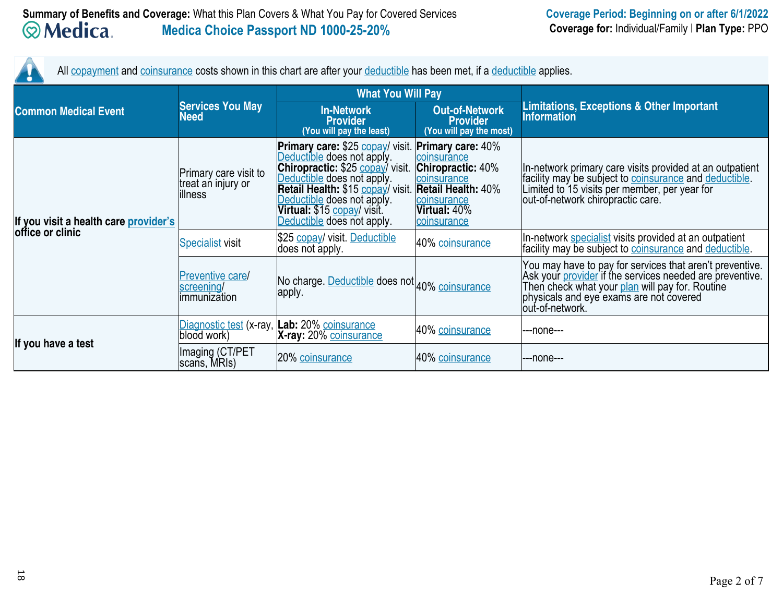All copayment and coinsurance costs shown in this chart are after your deductible has been met, if a deductible applies.

|                                       |                                                        | <b>What You Will Pay</b>                                                                                                                                                                                                                                                                 |                                                                                                                                   |                                                                                                                                                                                                                                       |  |  |
|---------------------------------------|--------------------------------------------------------|------------------------------------------------------------------------------------------------------------------------------------------------------------------------------------------------------------------------------------------------------------------------------------------|-----------------------------------------------------------------------------------------------------------------------------------|---------------------------------------------------------------------------------------------------------------------------------------------------------------------------------------------------------------------------------------|--|--|
| <b>Common Medical Event</b>           | <b>Services You May</b><br>Need                        | <b>In-Network</b><br><b>Provider</b><br>(You will pay the least)                                                                                                                                                                                                                         | Out-of-Network<br><b>Provider</b><br>(You will pay the most)                                                                      | <b>Limitations, Exceptions &amp; Other Important</b><br>Information                                                                                                                                                                   |  |  |
| If you visit a health care provider's | Primary care visit to<br>treat an injury or<br>illness | <b>Primary care: \$25 copay/ visit. Primary care: 40%</b><br>Deductible does not apply.<br>Chiropractic: \$25 copay/visit.<br>Deductible does not apply.<br>Retail Health: \$15 copay/ visit.<br>Deductible does not apply.<br>Virtual: \$15 copay/ visit.<br>Deductible does not apply. | coinsurance<br><b>Chiropractic: 40%</b><br>coinsurance<br><b>Retail Health: 40%</b><br>coinsurance<br>Virtual: 40%<br>coinsurance | In-network primary care visits provided at an outpatient<br>facility may be subject to coinsurance and deductible.<br>Limited to 15 visits per member, per year for<br>out-of-network chiropractic care.                              |  |  |
| office or clinic                      | <b>Specialist visit</b>                                | \$25 copay/ visit. Deductible<br>does not apply.                                                                                                                                                                                                                                         | 40% coinsurance                                                                                                                   | In-network specialist visits provided at an outpatient<br>facility may be subject to coinsurance and deductible.                                                                                                                      |  |  |
|                                       | <b>Preventive care/</b><br>screening/<br>limmunization | No charge. Deductible does not 40% coinsurance<br>∣apply.                                                                                                                                                                                                                                |                                                                                                                                   | You may have to pay for services that aren't preventive.<br>Ask your provider if the services needed are preventive.<br>Then check what your plan will pay for. Routine<br>physicals and eye exams are not covered<br>out-of-network. |  |  |
|                                       | blood work)                                            | Diagnostic test (x-ray, Lab: 20% coinsurance<br>X-ray: 20% coinsurance                                                                                                                                                                                                                   | 40% coinsurance                                                                                                                   | ---none---                                                                                                                                                                                                                            |  |  |
| If you have a test                    | Imaging (CT/PET<br>scans, MRIs)                        | 20% coinsurance                                                                                                                                                                                                                                                                          | 40% coinsurance                                                                                                                   | ---none---                                                                                                                                                                                                                            |  |  |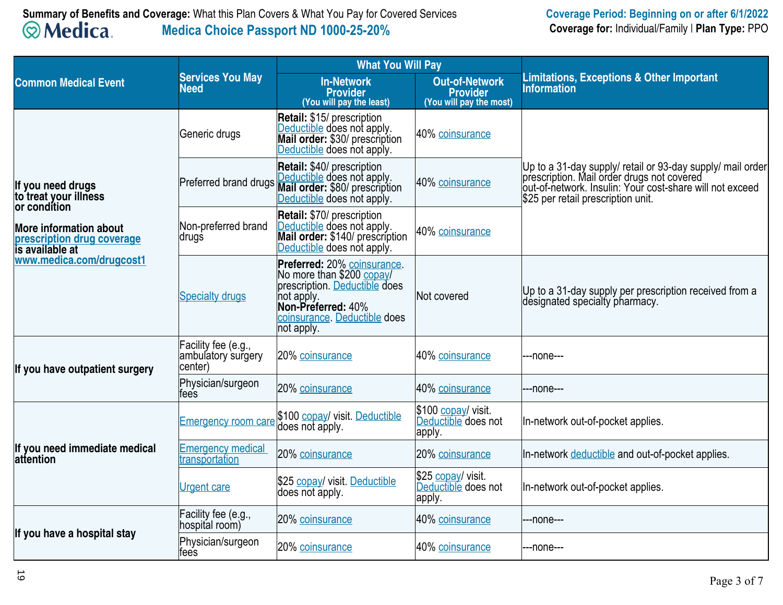# **Summary of Benefits and Coverage:** What this Plan Covers & What You Pay for Covered Services**Medica Choice Passport ND 1000-25-20%**

|                                                                                | <b>What You Will Pay</b>                             |                                                                                                                                                                             |                                                                     |                                                                                                                                                                                                            |  |
|--------------------------------------------------------------------------------|------------------------------------------------------|-----------------------------------------------------------------------------------------------------------------------------------------------------------------------------|---------------------------------------------------------------------|------------------------------------------------------------------------------------------------------------------------------------------------------------------------------------------------------------|--|
| <b>Common Medical Event</b>                                                    | <b>Services You May</b><br><b>Need</b>               | <b>In-Network</b><br><b>Provider</b><br>(You will pay the least)                                                                                                            | <b>Out-of-Network</b><br><b>Provider</b><br>(You will pay the most) | <b>Limitations, Exceptions &amp; Other Important</b><br><b>Information</b>                                                                                                                                 |  |
|                                                                                | Generic drugs                                        | Retail: \$15/ prescription<br>Deductible does not apply.<br>Mail order: \$30/ prescription<br>Deductible does not apply.                                                    | 40% coinsurance                                                     |                                                                                                                                                                                                            |  |
| If you need drugs<br>to treat your illness<br>or condition                     | <b>Preferred brand drugs</b>                         | <b>Retail: \$40/ prescription</b><br>Deductible does not apply.<br>Mail order: \$80/ prescription<br>Deductible does not apply.                                             | 40% coinsurance                                                     | Up to a 31-day supply/ retail or 93-day supply/ mail order<br>prescription. Mail order drugs not covered<br>out-of-network. Insulin: Your cost-share will not exceed<br>\$25 per retail prescription unit. |  |
| <b>More information about</b><br>prescription drug coverage<br>is available at | Non-preferred brand<br>drugs                         | Retail: \$70/ prescription<br>Deductible does not apply.<br>Mail order: \$140/ prescription<br>Deductible does not apply.                                                   | 40% coinsurance                                                     |                                                                                                                                                                                                            |  |
| www.medica.com/drugcost1                                                       | <b>Specialty drugs</b>                               | Preferred: 20% coinsurance.<br>No more than \$200 copay/<br>prescription. Deductible does<br>not apply.<br>Non-Preferred: 40%<br>coinsurance. Deductible does<br>not apply. | Not covered                                                         | Up to a 31-day supply per prescription received from a<br>designated specialty pharmacy.                                                                                                                   |  |
| If you have outpatient surgery                                                 | Facility fee (e.g.,<br>ambulatory surgery<br>center) | 20% coinsurance                                                                                                                                                             | 40% coinsurance                                                     | ---none---                                                                                                                                                                                                 |  |
|                                                                                | Physician/surgeon<br>fees                            | 20% coinsurance                                                                                                                                                             | 40% coinsurance                                                     | --none---                                                                                                                                                                                                  |  |
|                                                                                | <b>Emergency room care</b>                           | \$100 copay/ visit. Deductible<br>does not apply.                                                                                                                           | \$100 copay/ visit.<br>Deductible does not<br>apply.                | In-network out-of-pocket applies.                                                                                                                                                                          |  |
| If you need immediate medical<br>latṫention                                    | <b>Emergency medical</b><br><u>transportation</u>    | 20% coinsurance                                                                                                                                                             | 20% coinsurance                                                     | In-network deductible and out-of-pocket applies.                                                                                                                                                           |  |
|                                                                                | <b>Urgent care</b>                                   | \$25 copay/ visit. Deductible<br>does not apply.                                                                                                                            | \$25 copay/ visit.<br>Deductible does not<br>apply.                 | In-network out-of-pocket applies.                                                                                                                                                                          |  |
|                                                                                | Facility fee (e.g.,<br>hospital room)                | 20% coinsurance                                                                                                                                                             | 40% coinsurance                                                     | ---none---                                                                                                                                                                                                 |  |
| If you have a hospital stay                                                    | Physician/surgeon<br>fees                            | 20% coinsurance                                                                                                                                                             | 40% coinsurance                                                     | ---none---                                                                                                                                                                                                 |  |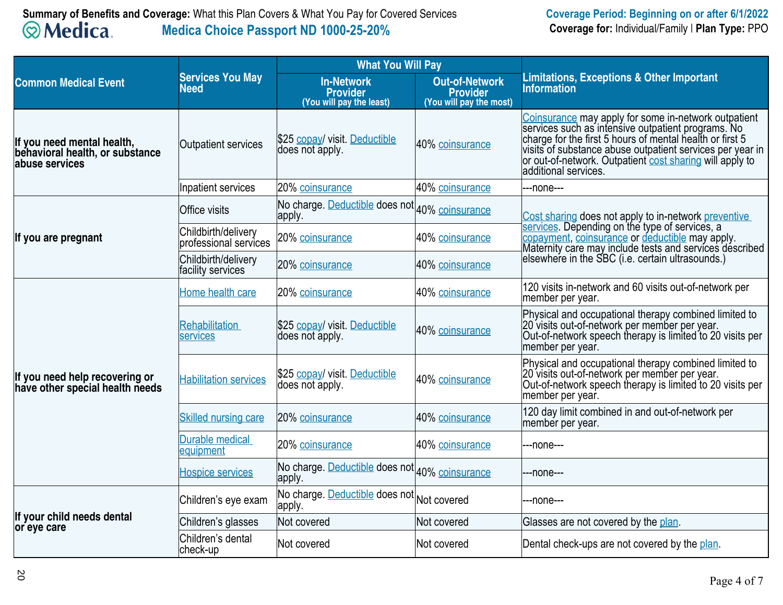|                                                                                  |                                              | <b>What You Will Pay</b>                                         |                                                                     |                                                                                                                                                                                                                                                                                                                         |  |  |
|----------------------------------------------------------------------------------|----------------------------------------------|------------------------------------------------------------------|---------------------------------------------------------------------|-------------------------------------------------------------------------------------------------------------------------------------------------------------------------------------------------------------------------------------------------------------------------------------------------------------------------|--|--|
| <b>Common Medical Event</b>                                                      | <b>Services You May</b><br><b>Need</b>       | <b>In-Network</b><br><b>Provider</b><br>(You will pay the least) | <b>Out-of-Network</b><br><b>Provider</b><br>(You will pay the most) | <b>Limitations, Exceptions &amp; Other Important</b><br><b>Information</b>                                                                                                                                                                                                                                              |  |  |
| If you need mental health,<br>behavioral health, or substance<br>labuse services | Outpatient services                          | \$25 copay/ visit. Deductible<br>does not apply.                 | 40% coinsurance                                                     | Coinsurance may apply for some in-network outpatient<br>services such as intensive outpatient programs. No<br>charge for the first 5 hours of mental health or first 5<br>visits of substance abuse outpatient services per year in<br>or out-of-network. Outpatient cost sharing will apply to<br>additional services. |  |  |
|                                                                                  | Inpatient services                           | 20% coinsurance                                                  | 40% coinsurance                                                     | ---none---                                                                                                                                                                                                                                                                                                              |  |  |
|                                                                                  | Office visits                                | No charge. Deductible does not 40% coinsurance<br>apply.         |                                                                     | Cost sharing does not apply to in-network preventive                                                                                                                                                                                                                                                                    |  |  |
| If you are pregnant                                                              | Childbirth/delivery<br>professional services | 20% coinsurance                                                  | 40% coinsurance                                                     | services. Depending on the type of services, a<br>copayment, coinsurance or deductible may apply.<br>Maternity care may include tests and services described                                                                                                                                                            |  |  |
|                                                                                  | Childbirth/delivery<br>facility services     | 20% coinsurance                                                  | 40% coinsurance                                                     | elsewhere in the SBC (i.e. certain ultrasounds.)                                                                                                                                                                                                                                                                        |  |  |
|                                                                                  | Home health care                             | 20% coinsurance                                                  | 40% coinsurance                                                     | 120 visits in-network and 60 visits out-of-network per<br>member per year.                                                                                                                                                                                                                                              |  |  |
| If you need help recovering or<br>have other special health needs                | <b>Rehabilitation</b><br>services            | \$25 copay/ visit. Deductible<br>does not apply.                 | 40% coinsurance                                                     | Physical and occupational therapy combined limited to<br>20 visits out-of-network per member per year.<br>Out-of-network speech therapy is limited to 20 visits per<br>member per year.                                                                                                                                 |  |  |
|                                                                                  | <b>Habilitation services</b>                 | \$25 copay/ visit. Deductible<br>does not apply.                 | 40% coinsurance                                                     | Physical and occupational therapy combined limited to<br>20 visits out-of-network per member per year.<br>Out-of-network speech therapy is limited to 20 visits per<br>member per year.                                                                                                                                 |  |  |
|                                                                                  | <b>Skilled nursing care</b>                  | 20% coinsurance                                                  | 40% coinsurance                                                     | 120 day limit combined in and out-of-network per<br>member per year.                                                                                                                                                                                                                                                    |  |  |
|                                                                                  | <b>Durable medical</b><br>equipment          | 20% coinsurance                                                  | 40% coinsurance                                                     | ---none---                                                                                                                                                                                                                                                                                                              |  |  |
|                                                                                  | <b>Hospice services</b>                      | No charge. Deductible does not 40% coinsurance<br>apply.         |                                                                     | ---none---                                                                                                                                                                                                                                                                                                              |  |  |
|                                                                                  | Children's eye exam                          | No charge. Deductible does not Not covered<br>apply.             |                                                                     | ---none---                                                                                                                                                                                                                                                                                                              |  |  |
| If your child needs dental<br>or eye care                                        | Children's glasses                           | Not covered                                                      | Not covered                                                         | Glasses are not covered by the plan.                                                                                                                                                                                                                                                                                    |  |  |
|                                                                                  | Children's dental<br>check-up                | Not covered                                                      | Not covered                                                         | Dental check-ups are not covered by the plan.                                                                                                                                                                                                                                                                           |  |  |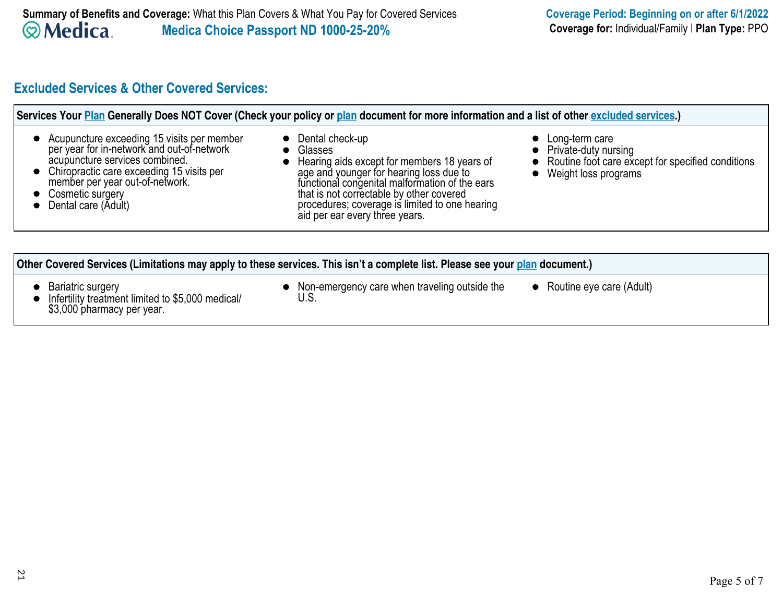# **Excluded Services & Other Covered Services:**

| Acupuncture exceeding 15 visits per member<br>per year for in-network and out-of-network<br>acupuncture services combined.<br>• Chiropractic care exceeding 15 visits per<br>member per year out-of-network.<br>• Cosmetic surgery<br>Dental care (Adult) | • Dental check-up<br>• Glasses<br>• Hearing aids except for members 18 years of<br>age and younger for hearing loss due to<br>functional congenital malformation of the ears<br>that is not correctable by other covered<br>procedures; coverage is limited to one hearing<br>aid per ear every three years. | Long-term care<br>• Private-duty nursing<br>Routine foot care except for specified conditions<br>Weight loss programs |
|-----------------------------------------------------------------------------------------------------------------------------------------------------------------------------------------------------------------------------------------------------------|--------------------------------------------------------------------------------------------------------------------------------------------------------------------------------------------------------------------------------------------------------------------------------------------------------------|-----------------------------------------------------------------------------------------------------------------------|
|                                                                                                                                                                                                                                                           |                                                                                                                                                                                                                                                                                                              |                                                                                                                       |

- Non-emergency care when traveling outside the U.S.
- Routine eye care (Adult)

Bariatric surgery Infertility treatment limited to \$5,000 medical/ \$3,000 pharmacy per year.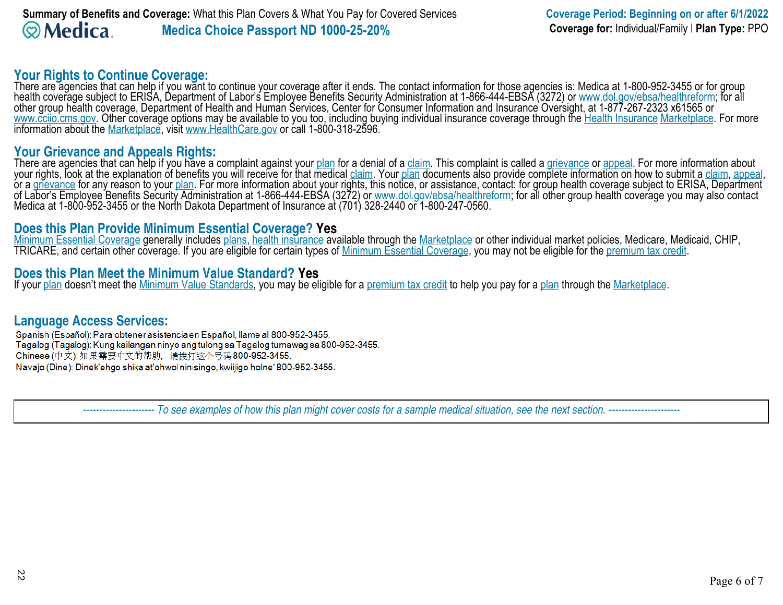**Your Rights to Continue Coverage:**<br>There are agencies that can help if you want to continue your coverage after it ends. The contact information for those agencies is: Medica at 1-800-952-3455 or for group<br>health coverage other group health coverage, Department of Health and Human Services, Center for Consumer Information and Insurance Oversight, at 1-877-267-2323 x61565 or www.cciio.cms.gov. Other coverage options may be available to you too, including buying individual insurance coverage through the Health Insurance Marketplace. For more information about the Marketplace, visit www.HealthCare.gov or call 1-800-318-2596.

# **Your Grievance and Appeals Rights:**

There are agencies that can help if you have a complaint against your <u>plan</u> for a denial of a <u>claim</u>. This complaint is called a <u>grievance</u> or <u>appeal</u>. For more information about<br>your rights, look at the explanation of or a <u>grievance</u> for any reason to your <u>plan</u>. For more information about your rights, this notice, or assistance, contact: for group health coverage subject to ERISA, Department<br>of Labor's Employee Benefits Security Admi

# **Does this Plan Provide Minimum Essential Coverage? Yes**

<u>Minimum Essential Coverage</u> generally includes <u>plans, health insurance</u> available through the <u>Marketplace</u> or other individual market policies, Medicare, Medicaid, CHIP,<br>TRICARE, and certain other coverage. If you are e

# **Does this Plan Meet the Minimum Value Standard? Yes**

If your <u>plan</u> doesn't meet the <u>Minimum Value Standards</u>, you may be eligible for a <u>premium tax credit</u> to help you pay for a <u>plan</u> through the <u>Marketplace</u>.

# **Language Access Services:**

Spanish (Español): Para obtener asistencia en Español, llame al 800-952-3455. Tagalog (Tagalog): Kung kailangan ninyo ang tulong sa Tagalog tumawag sa 800-952-3455. Chinese (中文): 如果需要中文的帮助, 请拨打这个号码800-952-3455. Navajo (Dine): Dinek'ehgo shika at'ohwol ninisingo, kwiijigo holne' 800-952-3455.

 *---------------------- To see examples of how this plan might cover costs for a sample medical situation, see the next section. ----------------------*